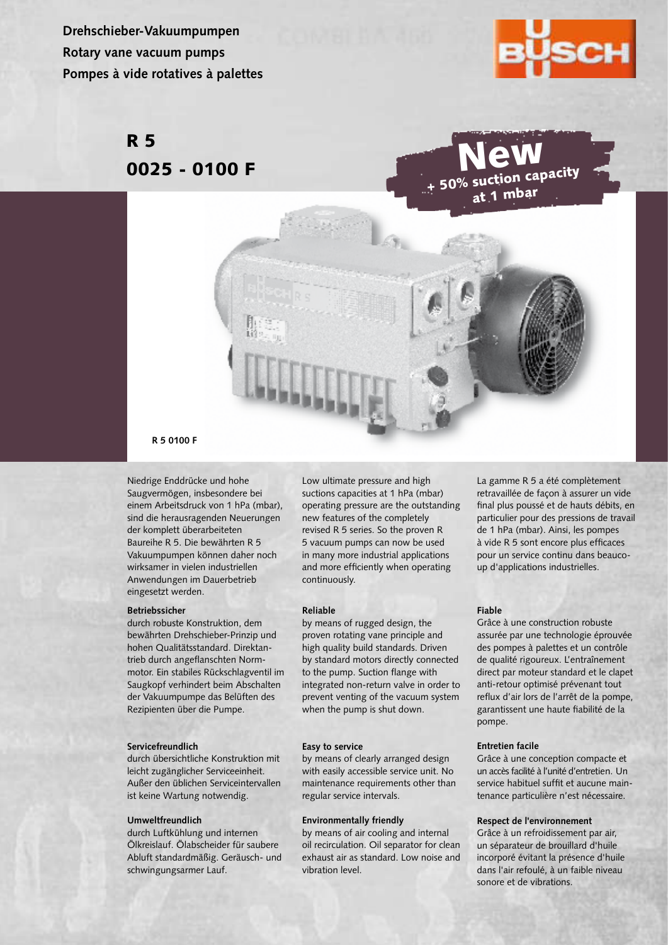**Drehschieber-Vakuumpumpen Rotary vane vacuum pumps Pompes à vide rotatives à palettes**



# R 5 0025 - 0100 F



#### **R 5 0100 F**

Niedrige Enddrücke und hohe Saugvermögen, insbesondere bei einem Arbeitsdruck von 1 hPa (mbar), sind die herausragenden Neuerungen der komplett überarbeiteten Baureihe R 5. Die bewährten R 5 Vakuumpumpen können daher noch wirksamer in vielen industriellen Anwendungen im Dauerbetrieb eingesetzt werden.

#### **Betriebssicher**

durch robuste Konstruktion, dem bewährten Drehschieber-Prinzip und hohen Qualitätsstandard. Direktantrieb durch angeflanschten Normmotor. Ein stabiles Rückschlagventil im Saugkopf verhindert beim Abschalten der Vakuumpumpe das Belüften des Rezipienten über die Pumpe.

#### **Servicefreundlich**

durch übersichtliche Konstruktion mit leicht zugänglicher Serviceeinheit. Außer den üblichen Serviceintervallen ist keine Wartung notwendig.

#### **Umweltfreundlich**

durch Luftkühlung und internen Ölkreislauf. Ölabscheider für saubere Abluft standardmäßig. Geräusch- und schwingungsarmer Lauf.

Low ultimate pressure and high suctions capacities at 1 hPa (mbar) operating pressure are the outstanding new features of the completely revised R 5 series. So the proven R 5 vacuum pumps can now be used in many more industrial applications and more efficiently when operating continuously.

#### **Reliable**

by means of rugged design, the proven rotating vane principle and high quality build standards. Driven by standard motors directly connected to the pump. Suction flange with integrated non-return valve in order to prevent venting of the vacuum system when the pump is shut down.

#### **Easy to service**

by means of clearly arranged design with easily accessible service unit. No maintenance requirements other than regular service intervals.

## **Environmentally friendly**

by means of air cooling and internal oil recirculation. Oil separator for clean exhaust air as standard. Low noise and vibration level.

La gamme R 5 a été complètement retravaillée de façon à assurer un vide final plus poussé et de hauts débits, en particulier pour des pressions de travail de 1 hPa (mbar). Ainsi, les pompes à vide R 5 sont encore plus efficaces pour un service continu dans beaucoup d'applications industrielles.

# **Fiable**

Grâce à une construction robuste assurée par une technologie éprouvée des pompes à palettes et un contrôle de qualité rigoureux. L'entraînement direct par moteur standard et le clapet anti-retour optimisé prévenant tout reflux d'air lors de l'arrêt de la pompe, garantissent une haute fiabilité de la pompe.

# **Entretien facile**

Grâce à une conception compacte et un accès facilité à l'unité d'entretien. Un service habituel suffit et aucune maintenance particulière n'est nécessaire.

## **Respect de l'environnement**

Grâce à un refroidissement par air, un séparateur de brouillard d'huile incorporé évitant la présence d'huile dans l'air refoulé, à un faible niveau sonore et de vibrations.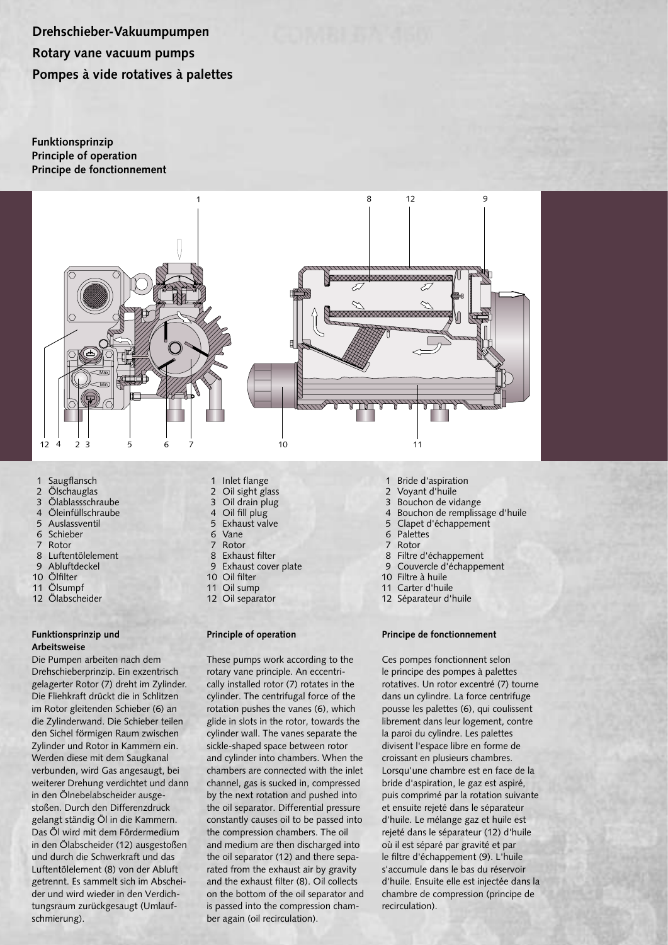**Drehschieber-Vakuumpumpen Rotary vane vacuum pumps Pompes à vide rotatives à palettes**

**Funktionsprinzip Principle of operation Principe de fonctionnement**



- 1 Saugflansch<br>2 Ölschauglas
- **Ölschauglas**
- 3 Ölablassschraube
- 4 Öleinfüllschraube<br>5 Auslassventil
- 5 Auslassventil
- 6 Schieber
- Rotor
- 8 Luftentölelement
- 9 Abluftdeckel
- 10 Ölfilter
- 11 Ölsumpf
- 12 Ölabscheider

# **Funktionsprinzip und Arbeitsweise**

Die Pumpen arbeiten nach dem Drehschieberprinzip. Ein exzentrisch gelagerter Rotor (7) dreht im Zylinder. Die Fliehkraft drückt die in Schlitzen im Rotor gleitenden Schieber (6) an die Zylinderwand. Die Schieber teilen den Sichel förmigen Raum zwischen Zylinder und Rotor in Kammern ein. Werden diese mit dem Saugkanal verbunden, wird Gas angesaugt, bei weiterer Drehung verdichtet und dann in den Ölnebelabscheider ausgestoßen. Durch den Differenzdruck gelangt ständig Öl in die Kammern. Das Öl wird mit dem Fördermedium in den Ölabscheider (12) ausgestoßen und durch die Schwerkraft und das Luftentölelement (8) von der Abluft getrennt. Es sammelt sich im Abscheider und wird wieder in den Verdichtungsraum zurückgesaugt (Umlaufschmierung).

- 1 Inlet flange<br>2 Oil sight gla
- Oil sight glass
- 3 Oil drain plug
- 4 Oil fill plug Exhaust valve
- 6 Vane
- 
- 7 Rotor<br>8 Exhau Exhaust filter
- 9 Exhaust cover plate
- 10 Oil filter
- 11 Oil sump
- 12 Oil separator

## **Principle of operation**

These pumps work according to the rotary vane principle. An eccentrically installed rotor (7) rotates in the cylinder. The centrifugal force of the rotation pushes the vanes (6), which glide in slots in the rotor, towards the cylinder wall. The vanes separate the sickle-shaped space between rotor and cylinder into chambers. When the chambers are connected with the inlet channel, gas is sucked in, compressed by the next rotation and pushed into the oil separator. Differential pressure constantly causes oil to be passed into the compression chambers. The oil and medium are then discharged into the oil separator (12) and there separated from the exhaust air by gravity and the exhaust filter (8). Oil collects on the bottom of the oil separator and is passed into the compression chamber again (oil recirculation).

- 1 Bride d'aspiration<br>2 Vovant d'huile
- Voyant d'huile
- 3 Bouchon de vidange
- 4 Bouchon de remplissage d'huile<br>5 Clapet d'échappement
- Clapet d'échappement
- 6 Palettes<br>7 Rotor
- Rotor
- 8 Filtre d'échappement
- 9 Couvercle d'échappement
- 10 Filtre à huile
- 11 Carter d'huile
- 12 Séparateur d'huile

# **Principe de fonctionnement**

Ces pompes fonctionnent selon le principe des pompes à palettes rotatives. Un rotor excentré (7) tourne dans un cylindre. La force centrifuge pousse les palettes (6), qui coulissent librement dans leur logement, contre la paroi du cylindre. Les palettes divisent l'espace libre en forme de croissant en plusieurs chambres. Lorsqu'une chambre est en face de la bride d'aspiration, le gaz est aspiré, puis comprimé par la rotation suivante et ensuite rejeté dans le séparateur d'huile. Le mélange gaz et huile est rejeté dans le séparateur (12) d'huile où il est séparé par gravité et par le filtre d'échappement (9). L'huile s'accumule dans le bas du réservoir d'huile. Ensuite elle est injectée dans la chambre de compression (principe de recirculation).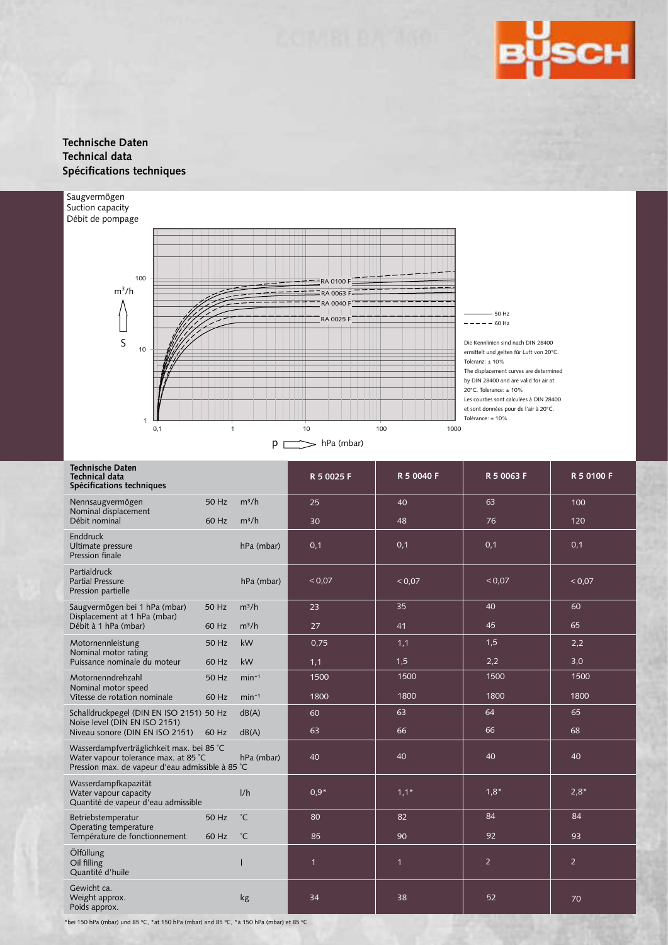

# **Technische Daten Technical data Spécifications techniques**



| <b>Technische Daten</b><br>Technical data<br>Spécifications techniques                                                                |       |              | R 5 0025 F     | R 5 0040 F   | R 5 0063 F     | R 5 0100 F     |  |  |
|---------------------------------------------------------------------------------------------------------------------------------------|-------|--------------|----------------|--------------|----------------|----------------|--|--|
| Nennsaugvermögen<br>Nominal displacement                                                                                              | 50 Hz | $m^3/h$      | 25             | 40           | 63             | 100            |  |  |
| Débit nominal                                                                                                                         | 60 Hz | $m^3/h$      | 30             | 48           | 76             | 120            |  |  |
| Enddruck<br>Ultimate pressure<br>Pression finale                                                                                      |       | hPa (mbar)   | 0,1            | 0,1          | 0,1            | 0,1            |  |  |
| Partialdruck<br><b>Partial Pressure</b><br>Pression partielle                                                                         |       | hPa (mbar)   | < 0.07         | < 0.07       | ${}^{<}0,07$   | < 0.07         |  |  |
| Saugvermögen bei 1 hPa (mbar)<br>Displacement at 1 hPa (mbar)                                                                         | 50 Hz | $m^3/h$      | 23             | 35           | 40             | 60             |  |  |
| Débit à 1 hPa (mbar)                                                                                                                  | 60 Hz | $m^3/h$      | 27             | 41           | 45             | 65             |  |  |
| Motornennleistung                                                                                                                     | 50 Hz | kW           | 0,75           | 1,1          | 1,5            | 2,2            |  |  |
| Nominal motor rating<br>Puissance nominale du moteur                                                                                  | 60 Hz | kW           | 1,1            | 1,5          | 2,2            | 3,0            |  |  |
| Motornenndrehzahl                                                                                                                     | 50 Hz | $min^{-1}$   | 1500           | 1500         | 1500           | 1500           |  |  |
| Nominal motor speed<br>Vitesse de rotation nominale                                                                                   | 60 Hz | $min-1$      | 1800           | 1800         | 1800           | 1800           |  |  |
| Schalldruckpegel (DIN EN ISO 2151) 50 Hz                                                                                              |       | dB(A)        | 60             | 63           | 64             | 65             |  |  |
| Noise level (DIN EN ISO 2151)<br>Niveau sonore (DIN EN ISO 2151)                                                                      | 60 Hz | dB(A)        | 63             | 66           | 66             | 68             |  |  |
| Wasserdampfverträglichkeit max. bei 85 °C<br>Water vapour tolerance max. at 85 °C<br>Pression max. de vapeur d'eau admissible à 85 °C |       | hPa (mbar)   | 40             | 40           | 40             | 40             |  |  |
| Wasserdampfkapazität<br>Water vapour capacity<br>Quantité de vapeur d'eau admissible                                                  |       | 1/h          | $0.9*$         | $1,1*$       | $1,8*$         | $2,8*$         |  |  |
| Betriebstemperatur                                                                                                                    | 50 Hz | $^{\circ}$ C | 80             | 82           | 84             | 84             |  |  |
| Operating temperature<br>Température de fonctionnement                                                                                | 60 Hz | $^{\circ}$ C | 85             | 90           | 92             | 93             |  |  |
| Ölfüllung<br>Oil filling<br>Quantité d'huile                                                                                          |       |              | $\overline{1}$ | $\mathbf{1}$ | $\overline{2}$ | $\overline{2}$ |  |  |
| Gewicht ca.<br>Weight approx.<br>Poids approx.                                                                                        |       | kg           | 34             | 38           | 52             | 70             |  |  |

\*bei 150 hPa (mbar) und 85 ºC, \*at 150 hPa (mbar) and 85 ºC, \*à 150 hPa (mbar) et 85 ºC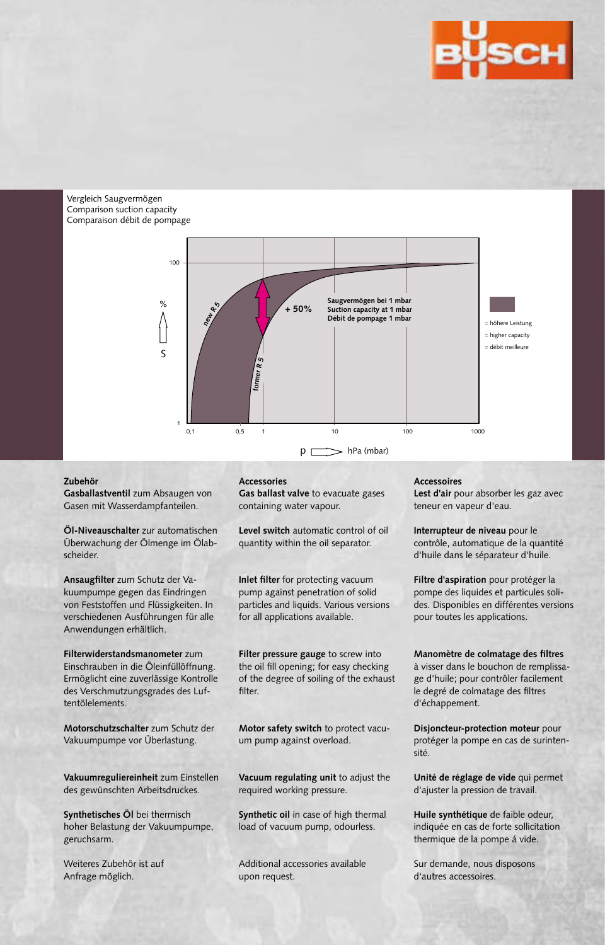

Vergleich Saugvermögen Comparison suction capacity Comparaison débit de pompage



# **Zubehör**

**Gasballastventil** zum Absaugen von Gasen mit Wasserdampfanteilen.

**Öl-Niveauschalter** zur automatischen Überwachung der Ölmenge im Ölabscheider.

**Ansaugfilter** zum Schutz der Vakuumpumpe gegen das Eindringen von Feststoffen und Flüssigkeiten. In verschiedenen Ausführungen für alle Anwendungen erhältlich.

**Filterwiderstandsmanometer** zum Einschrauben in die Öleinfüllöffnung. Ermöglicht eine zuverlässige Kontrolle des Verschmutzungsgrades des Luftentölelements.

**Motorschutzschalter** zum Schutz der Vakuumpumpe vor Überlastung.

**Vakuumreguliereinheit** zum Einstellen des gewünschten Arbeitsdruckes.

**Synthetisches Öl** bei thermisch hoher Belastung der Vakuumpumpe, geruchsarm.

Weiteres Zubehör ist auf Anfrage möglich.

#### **Accessories**

**Gas ballast valve** to evacuate gases containing water vapour.

**Level switch** automatic control of oil quantity within the oil separator.

**Inlet filter** for protecting vacuum pump against penetration of solid particles and liquids. Various versions for all applications available.

**Filter pressure gauge** to screw into the oil fill opening; for easy checking of the degree of soiling of the exhaust filter.

**Motor safety switch** to protect vacuum pump against overload.

**Vacuum regulating unit** to adjust the required working pressure.

**Synthetic oil** in case of high thermal load of vacuum pump, odourless.

Additional accessories available upon request.

**Accessoires**

d'échappement.

**Lest d'air** pour absorber les gaz avec teneur en vapeur d'eau.

**Interrupteur de niveau** pour le contrôle, automatique de la quantité d'huile dans le séparateur d'huile.

**Filtre d'aspiration** pour protéger la pompe des liquides et particules solides. Disponibles en différentes versions pour toutes les applications.

**Manomètre de colmatage des filtres** à visser dans le bouchon de remplissage d'huile; pour contrôler facilement le degré de colmatage des filtres

**Disjoncteur-protection moteur** pour protéger la pompe en cas de surintensité.

**Unité de réglage de vide** qui permet d'ajuster la pression de travail.

**Huile synthétique** de faible odeur, indiquée en cas de forte sollicitation thermique de la pompe á vide.

Sur demande, nous disposons d'autres accessoires.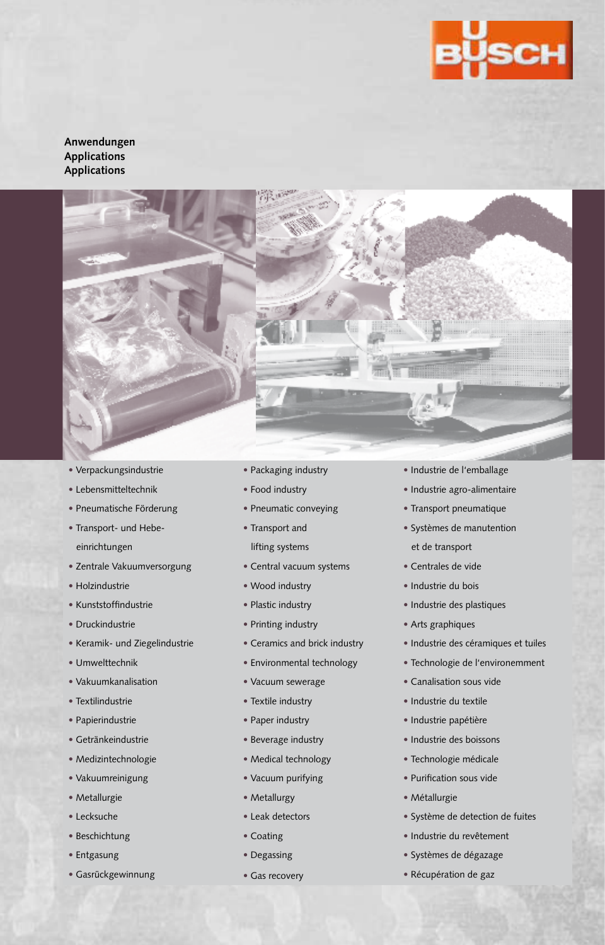

**Anwendungen Applications Applications**



- Verpackungsindustrie
- Lebensmitteltechnik
- Pneumatische Förderung
- Transport- und Hebeeinrichtungen
- Zentrale Vakuumversorgung
- Holzindustrie
- Kunststoffindustrie
- Druckindustrie
- Keramik- und Ziegelindustrie
- Umwelttechnik
- Vakuumkanalisation
- Textilindustrie
- Papierindustrie
- Getränkeindustrie
- Medizintechnologie
- Vakuumreinigung
- Metallurgie
- Lecksuche
- Beschichtung
- Entgasung
- Gasrückgewinnung
- Packaging industry
- Food industry
- Pneumatic conveying
- Transport and lifting systems
- Central vacuum systems
- Wood industry
- Plastic industry
- Printing industry
- Ceramics and brick industry
- Environmental technology
- Vacuum sewerage
- Textile industry
- Paper industry
- Beverage industry
- Medical technology
- Vacuum purifying
- Metallurgy
- Leak detectors
- Coating
- Degassing
- Gas recovery
- Industrie de l'emballage
- Industrie agro-alimentaire
- Transport pneumatique
- Systèmes de manutention et de transport
- Centrales de vide
- Industrie du bois
- Industrie des plastiques
- Arts graphiques
- Industrie des céramiques et tuiles
- Technologie de l'environemment
- Canalisation sous vide
- Industrie du textile
- Industrie papétière
- Industrie des boissons
- Technologie médicale
- Purification sous vide
- Métallurgie
- Système de detection de fuites
- Industrie du revêtement
- Systèmes de dégazage
- Récupération de gaz